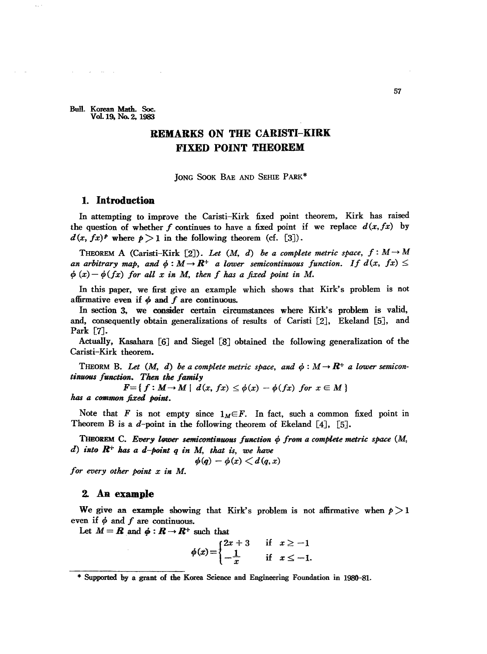Bull. Korean Math. Sac. Vol. 19, No. 2, 1983

 $\sim 10^{-11}$ 

 $\sim$   $\sim$ 

# **REMARKS ON THE CARISTI-KIRK FIXED POINT THEOREM:**

]ONG SOOK BAE AND SEHIE PARK\*

# **1. Introduction**

In attempting to improve the Caristi-Kirk fixed point theorem, Kirk has raised the question of whether *f* continues to have a fixed point if we replace  $d(x, fx)$  by  $d(x, fx)^p$  where  $p > 1$  in the following theorem (cf. [3]).

THEOREM A (Caristi-Kirk [2]). Let  $(M, d)$  be a complete metric space,  $f: M \rightarrow M$ an arbitrary map, and  $\phi : M \to \mathbb{R}^+$  a lower semicontinuous function. If  $d(x, fx) \leq$  $\phi(x) - \phi(fx)$  for all x in M, then f has a fixed point in M.

In this paper, we first give an example which shows that Kirk's problem is not affirmative even if  $\phi$  and  $f$  are continuous.

In section 3. we consider certain circumstances where Kirk's problem is valid, and, consequently obtain generalizations of results of Caristi [2J, Ekeland [5J, and Park [7].

Actually, Kasahara [6J and Siegel [8J obtained the following generalization of the Caristi-Kirk theorem.

THEORM B. Let  $(M, d)$  be a complete metric space, and  $\phi : M \to \mathbb{R}^+$  a lower semicon*tinuous function.* Then the *family* 

 $F = \{ f : M \rightarrow M \mid d(x, fx) \leq \phi(x) - \phi(fx) \text{ for } x \in M \}$ has a common fixed point.

Note that *F* is not empty since  $1_M \in F$ . In fact, such a common fixed point in Theorem B is a d-point in the following theorem of Ekeland  $[4]$ ,  $[5]$ .

THEoREM C. *Every 19fJ.N!1" semicontinuous fwu:tion* p *from a complete metric space (.M, d) into* Ht has *ad-point* <sup>q</sup> *in M,* that *is, we have*

 $\phi(q) - \phi(x) \lt d(q, x)$ 

*for every other point x in M.*

#### **2. AB. example**

We give an example showing that Kirk's problem is not affirmative when  $p > 1$ even if  $\phi$  and  $f$  are continuous.

Let  $M = \mathbf{R}$  and  $\phi : \mathbf{R} \to \mathbf{R}^+$  such that

$$
\phi(x) = \begin{cases} 2x+3 & \text{if } x \ge -1 \\ -\frac{1}{x} & \text{if } x \le -1. \end{cases}
$$

<sup>\*</sup> Supported by a grant of the Korea Science and Engineering Foundation in 1986-81.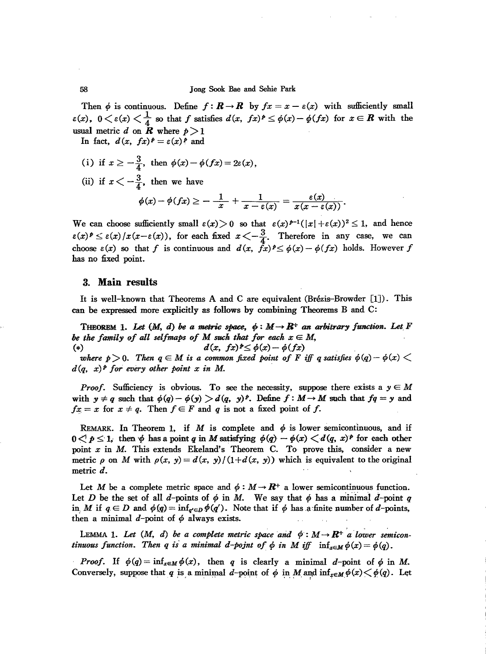Then  $\phi$  is continuous. Define  $f: \mathbf{R} \to \mathbf{R}$  by  $fx = x - \varepsilon(x)$  with sufficiently small  $\epsilon(x)$ ,  $0 < \epsilon(x) < \frac{1}{4}$  so that *f* satisfies  $d(x, fx)^p \leq \phi(x) - \phi(fx)$  for  $x \in \mathbb{R}$  with the usual metric d on  $\overline{R}$  where  $p>1$ 

In fact,  $d(x, fx)^p = \varepsilon(x)^p$  and

- (i) if  $x \ge -\frac{3}{4}$ , then  $\phi(x) \phi(fx) = 2\varepsilon(x)$ ,
- (ii) if  $x < -\frac{3}{4}$ , then we have

$$
\phi(x)-\phi(fx)\geq -\frac{1}{x}+\frac{1}{x-\varepsilon(x)}=\frac{\varepsilon(x)}{x(x-\varepsilon(x))}.
$$

We can choose sufficiently small  $\varepsilon(x) > 0$  so that  $\varepsilon(x)^{p-1}(|x| + \varepsilon(x))^2 \leq 1$ , and hence  $\varepsilon(x)$ <sup>*e*</sup>  $\leq \varepsilon(x)/x(x-\varepsilon(x))$ , for each fixed  $x < -\frac{3}{4}$ . Therefore in any case, we can choose  $\varepsilon(x)$  so that *f* is continuous and  $d(x, \overrightarrow{f}_x)^p \leq \phi(x) - \phi(fx)$  holds. However *f* has no fixed point.

## 3. **Main** results

It is well-known that Theorems A and C are equivalent (Brezis--Browder [IJ). This can he expressed more explicitly as follows by combining Theorems B and C:

THEOREM 1. Let  $(M, d)$  be a metric space,  $\phi : M \rightarrow \mathbb{R}^+$  an arbitrary function. Let F *be* the family of all selfmaps of M such that for each  $x \in M$ , (\*)  $d(x, f x)^{\frac{1}{2}} \leq \phi(x) - \phi(f x)$ 

*where*  $p>0$ . Then  $q \in M$  is a common fixed point of F iff q satisfies  $\phi(q) - \phi(x)$  $d(q, x)^p$  for every other point x in M.

*Proof.* Sufficiency is obvious. To see the necessity, suppose there exists a  $y \in M$ *rroof.* Sumclency is obvious. To see the necessity, suppose there exists a  $y \in M$  with  $y \neq q$  such that  $\phi(q) - \phi(y) > d(q, y)^p$ . Define  $f : M \to M$  such that  $fq = y$  and with  $g \neq q$  such that  $\varphi(q) - \varphi(y) > a(q, y)^2$ . Define  $f \cdot m \rightarrow a$ <br> *fx* = *x* for  $x \neq q$ . Then  $f \in F$  and *q* is not a fixed point of *f*.

REMARK. In Theorem 1, if M is complete and  $\phi$  is lower semicontinuous, and if  $0 \leq p \leq 1$ , then  $\phi$  has a point *q* in *M* satisfying  $\phi(q) - \phi(x) \leq d(q, x)^p$  for each other point *x* in *M*. This extends Ekeland's Theorem C. To prove this, consider a new metric  $\rho$  on M with  $\rho(x, y) = d(x, y)/(1+d(x, y))$  which is equivalent to the original metric d.

Let M be a complete metric space and  $\phi: M \to \mathbb{R}^+$  a lower semicontinuous function. Let D be the set of all d-points of  $\phi$  in M. We say that  $\phi$  has a minimal d-point q in, M if  $q \in D$  and  $\phi(q) = \inf_{q' \in D} \phi(q')$ . Note that if  $\phi$  has a finite number of *d*-points, then a minimal  $d$ -point of  $\phi$  always exists.

LEMMA 1. Let  $(M, d)$  be a complete metric space and  $\phi : M \rightarrow \mathbb{R}^+$  a lower semicon*tinuous* function. Then *q is a* minimal *d*-point of  $\phi$  *in* M iff  $\inf_{x \in M} \phi(x) = \phi(q)$ .

*Proof.* If  $\phi(q) = \inf_{x \in M} \phi(x)$ , then *q* is clearly a minimal *d*-point of  $\phi$  in M. Conversely, suppose that *q* is a minimal *d*-point of  $\phi$  in M and  $\inf_{x \in M} \phi(x) \leq \phi(q)$ . Let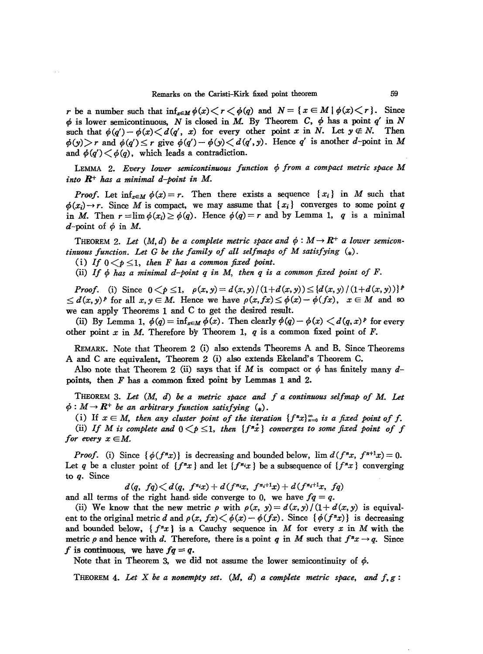*r* be a number such that  $\inf_{x \in M} \phi(x) \leq r \leq \phi(q)$  and  $N = \{x \in M \mid \phi(x) \leq r\}$ . Since  $\phi$  is lower semicontinuous, N is closed in M. By Theorem C,  $\phi$  has a point  $q'$  in N such that  $\phi(q') - \phi(x) \leq d(q', x)$  for every other point *x* in *N*. Let  $y \notin N$ . Then  $\phi(y)$  *r* and  $\phi(q') \le r$  give  $\phi(q') - \phi(y) \le d(q', y)$ . Hence *q'* is another d-point in M and  $\phi(q') \leq \phi(q)$ , which leads a contradiction.

LEMMA 2. Every lower semicontinuous function  $\phi$  from a compact metric space M *into* B+ has *a minimal d-point in* M.

*Proof.* Let  $\inf_{x \in M} \phi(x) = r$ . Then there exists a sequence  $\{x_i\}$  in M such that  $\phi(x_i) \rightarrow r$ . Since M is compact, we may assume that  $\{x_i\}$  converges to some point *q* in *M*. Then  $r = \lim_{\phi \to 0} \phi(x_i) \ge \phi(q)$ . Hence  $\phi(q) = r$  and by Lemma 1, *q* is a minimal  $d$ -point of  $\phi$  in M.

THEOREM 2. Let  $(M, d)$  be a complete metric space and  $\phi : M \to \mathbb{R}^+$  a lower semicon*tinuous function. Let* G *be the family of all selfmaps of* M *satisfying* (\*).

(i) If  $0 < p \leq 1$ , then *F* has a common fixed point.

(ii) If  $\phi$  has a minimal  $d$ -point  $q$  in M, then  $q$  is a common fixed point of F.

*Proof.* (i) Since  $0 \le p \le 1$ ,  $\rho(x, y) = d(x, y) / (1 + d(x, y)) \le \{d(x, y) / (1 + d(x, y))\}^p$  $\leq d(x,y)^p$  for all  $x,y \in M$ . Hence we have  $\rho(x,fx) \leq \phi(x) - \phi(fx)$ ,  $x \in M$  and so we can apply Theorems 1 and C to get the desired result.

(ii) By Lemma 1,  $\phi(q) = \inf_{x \in M} \phi(x)$ . Then clearly  $\phi(q) - \phi(x) \leq d(q, x)^p$  for every other point  $x$  in  $M$ . Therefore by Theorem 1,  $q$  is a common fixed point of  $F$ .

REMARK. Note that Theorem 2 (i) also extends Theorems A and B. Since Theorems A and C are equivalent, Theorem 2 (i) also extends Ekeland's Theorem C.

Also note that Theorem 2 (ii) says that if M is compact or  $\phi$  has finitely many dpoints, then F has a common fixed point by Lemmas 1 and 2.

THEOREM 3. *Let* (M, *d) be a metric space and f a continUfJus selfmap of* M. *Let*  $\phi: M \rightarrow \mathbb{R}^+$  *be an arbitrary function satisfying*  $(*)$ .

(i) If  $x \in M$ , then any cluster point of the iteration  $\{f^x x\}_{x=0}^{\infty}$  is a fixed point of f. (ii) If M is complete and  $0 \leq p \leq 1$ , then  $\{f^*x\}$  converges to some fixed point of f *for every*  $x \in M$ .

*Proof.* (i) Since  $\{\phi(f^nx)\}\$ is decreasing and bounded below,  $\lim d(f^nx, f^{n+1}x) = 0$ . Let *q* be a cluster point of  ${f^n x}$  and let  ${f^n x}$  be a subsequence of  ${f^n x}$  converging to *q.* Since

$$
d(q, f q) < d(q, f^{n} x) + d(f^{n} x, f^{n+1} x) + d(f^{n+1} x, f q)
$$

and all terms of the right hand side converge to 0, we have  $fq = q$ .

(ii) We know that the new metric  $\rho$  with  $\rho(x, y) = d(x, y)/(1 + d(x, y))$  is equivalent to the original metric *d* and  $\rho(x, fx) < \phi(x) - \phi(fx)$ . Since { $\phi(f^{n}x)$ } is decreasing and bounded below, *{f"x}* is a Cauchy sequence in *M* for every *x* in *M* with the metric p and hence with d. Therefore, there is a point q in M such that  $f^x x \rightarrow q$ . Since f is continuous, we have  $fq = q$ .

Note that in Theorem 3, we did not assume the lower semicontinuity of  $\phi$ .

THEOREM 4. Let X be a nonempty set.  $(M, d)$  a complete metric space, and  $f, g$ :